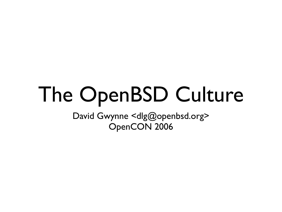### The OpenBSD Culture

David Gwynne <dlg@openbsd.org> OpenCON 2006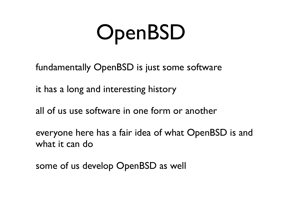### OpenBSD

fundamentally OpenBSD is just some software

it has a long and interesting history

all of us use software in one form or another

everyone here has a fair idea of what OpenBSD is and what it can do

some of us develop OpenBSD as well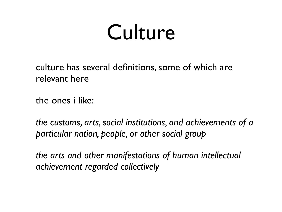#### Culture

culture has several definitions, some of which are relevant here

the ones i like:

*the customs, arts, social institutions, and achievements of a particular nation, people, or other social group*

*the arts and other manifestations of human intellectual achievement regarded collectively*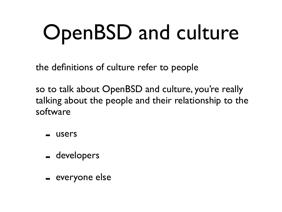# OpenBSD and culture

the definitions of culture refer to people

so to talk about OpenBSD and culture, you're really talking about the people and their relationship to the software

- users
- developers
- everyone else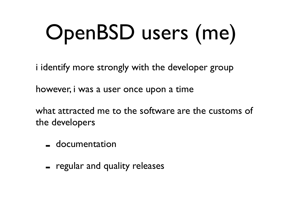# OpenBSD users (me)

i identify more strongly with the developer group

however, i was a user once upon a time

what attracted me to the software are the customs of the developers

- documentation
- regular and quality releases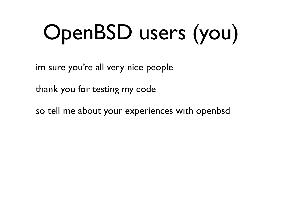# OpenBSD users (you)

im sure you're all very nice people

thank you for testing my code

so tell me about your experiences with openbsd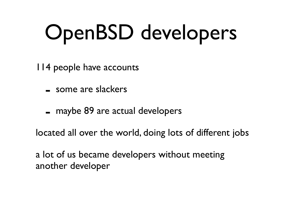## OpenBSD developers

114 people have accounts

- some are slackers
- maybe 89 are actual developers

located all over the world, doing lots of different jobs

a lot of us became developers without meeting another developer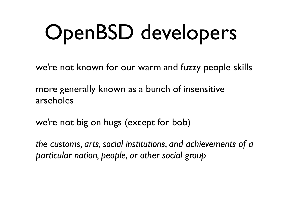## OpenBSD developers

we're not known for our warm and fuzzy people skills

more generally known as a bunch of insensitive arseholes

we're not big on hugs (except for bob)

*the customs, arts, social institutions, and achievements of a particular nation, people, or other social group*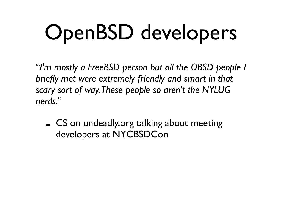# OpenBSD developers

*"I'm mostly a FreeBSD person but all the OBSD people I briefly met were extremely friendly and smart in that scary sort of way.These people so aren't the NYLUG nerds."*

- CS on undeadly.org talking about meeting developers at NYCBSDCon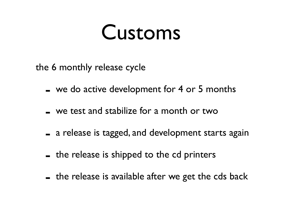the 6 monthly release cycle

- we do active development for 4 or 5 months
- we test and stabilize for a month or two
- a release is tagged, and development starts again
- the release is shipped to the cd printers
- the release is available after we get the cds back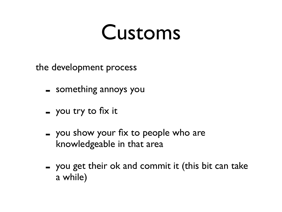the development process

- something annoys you
- you try to fix it
- you show your fix to people who are knowledgeable in that area
- you get their ok and commit it (this bit can take a while)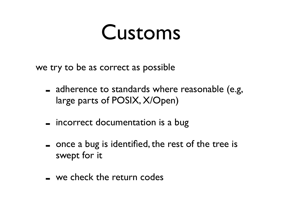we try to be as correct as possible

- adherence to standards where reasonable (e.g, large parts of POSIX, X/Open)
- incorrect documentation is a bug
- once a bug is identified, the rest of the tree is swept for it
- we check the return codes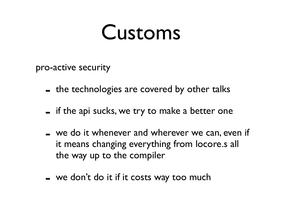pro-active security

- the technologies are covered by other talks
- if the api sucks, we try to make a better one
- we do it whenever and wherever we can, even if it means changing everything from locore.s all the way up to the compiler
- $-$  we don't do it if it costs way too much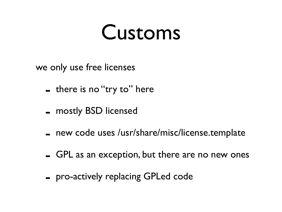we only use free licenses

- there is no "try to" here
- mostly BSD licensed
- new code uses /usr/share/misc/license.template
- GPL as an exception, but there are no new ones
- pro-actively replacing GPLed code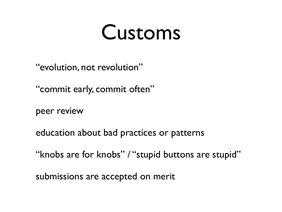"evolution, not revolution"

"commit early, commit often"

peer review

education about bad practices or patterns

"knobs are for knobs" / "stupid buttons are stupid"

submissions are accepted on merit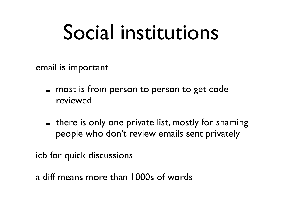#### Social institutions

email is important

- most is from person to person to get code reviewed
- there is only one private list, mostly for shaming people who don't review emails sent privately

icb for quick discussions

a diff means more than 1000s of words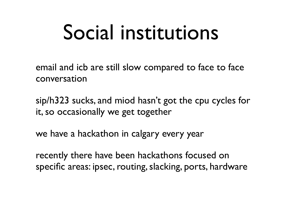#### Social institutions

email and icb are still slow compared to face to face conversation

sip/h323 sucks, and miod hasn't got the cpu cycles for it, so occasionally we get together

we have a hackathon in calgary every year

recently there have been hackathons focused on specific areas: ipsec, routing, slacking, ports, hardware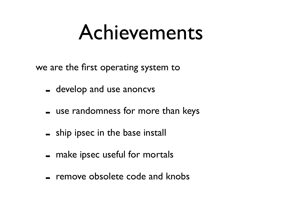we are the first operating system to

- develop and use anoncvs
- use randomness for more than keys
- ship ipsec in the base install
- make ipsec useful for mortals
- remove obsolete code and knobs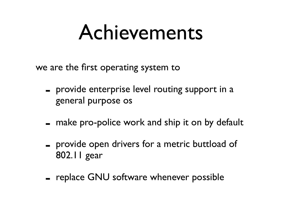we are the first operating system to

- provide enterprise level routing support in a general purpose os
- make pro-police work and ship it on by default
- provide open drivers for a metric buttload of 802.11 gear
- replace GNU software whenever possible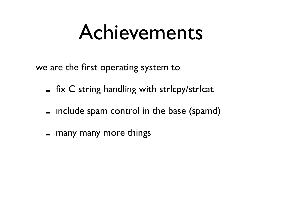we are the first operating system to

- $-$  fix C string handling with strlcpy/strlcat
- include spam control in the base (spamd)
- many many more things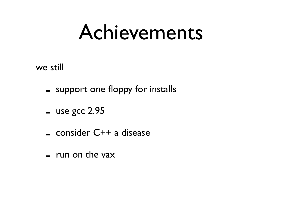we still

- support one floppy for installs
- $-$  use gcc 2.95
- consider C++ a disease
- $-$  run on the vax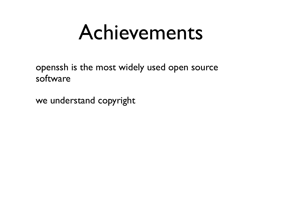openssh is the most widely used open source software

we understand copyright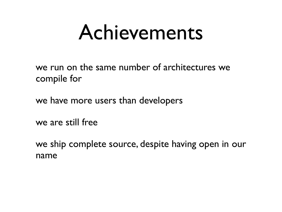we run on the same number of architectures we compile for

we have more users than developers

we are still free

we ship complete source, despite having open in our name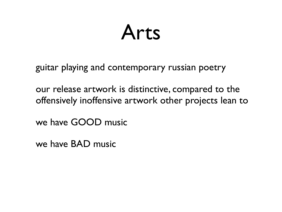#### Arts

guitar playing and contemporary russian poetry

our release artwork is distinctive, compared to the offensively inoffensive artwork other projects lean to

we have GOOD music

we have BAD music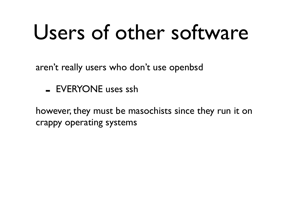#### Users of other software

aren't really users who don't use openbsd

- EVERYONE uses ssh

however, they must be masochists since they run it on crappy operating systems